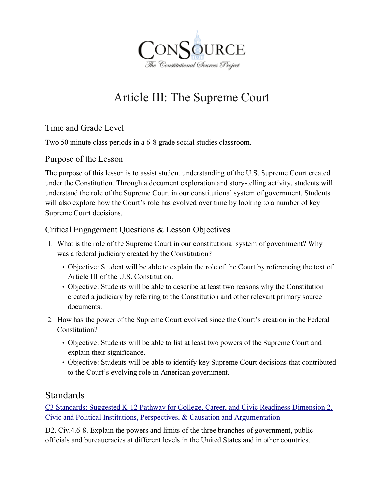

# Article III: The Supreme Court

### Time and Grade Level

Two 50 minute class periods in a 6-8 grade social studies classroom.

#### Purpose of the Lesson

The purpose of this lesson is to assist student understanding of the U.S. Supreme Court created under the Constitution. Through a document exploration and story-telling activity, students will understand the role of the Supreme Court in our constitutional system of government. Students will also explore how the Court's role has evolved over time by looking to a number of key Supreme Court decisions.

#### Critical Engagement Questions & Lesson Objectives

- 1. What is the role of the Supreme Court in our constitutional system of government? Why was a federal judiciary created by the Constitution?
	- Objective: Student will be able to explain the role of the Court by referencing the text of Article III of the U.S. Constitution.
	- Objective: Students will be able to describe at least two reasons why the Constitution created a judiciary by referring to the Constitution and other relevant primary source documents.
- 2. How has the power of the Supreme Court evolved since the Court's creation in the Federal Constitution?
	- Objective: Students will be able to list at least two powers of the Supreme Court and explain their significance.
	- Objective: Students will be able to identify key Supreme Court decisions that contributed to the Court's evolving role in American government.

### Standards

[C3 Standards: Suggested K-12 Pathway for College, Career, and Civic Readiness Dimension 2,](http://www.socialstudies.org/system/files/c3/C3-Framework-for-Social-Studies.pdf)  [Civic and Political Institutions, Perspectives, & Causation and Argumentation](http://www.socialstudies.org/system/files/c3/C3-Framework-for-Social-Studies.pdf)

D2. Civ.4.6-8. Explain the powers and limits of the three branches of government, public officials and bureaucracies at different levels in the United States and in other countries.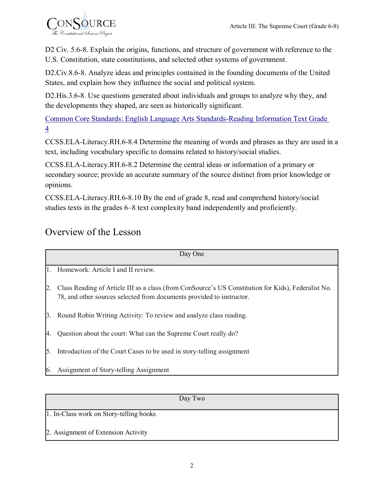

D<sub>2</sub> Civ. 5.6-8. Explain the origins, functions, and structure of government with reference to the U.S. Constitution, state constitutions, and selected other systems of government.

D2.Civ.8.6-8. Analyze ideas and principles contained in the founding documents of the United States, and explain how they influence the social and political system.

D2.His.3.6-8. Use questions generated about individuals and groups to analyze why they, and the developments they shaped, are seen as historically significant.

Common [Core Standards: English Language Arts Standards-Reading Information Text Grade](http://www.corestandards.org/ELA-Literacy/RH/11-12)  [4](http://www.corestandards.org/ELA-Literacy/RH/11-12)

[CCSS.ELA-Literacy.RH.6-8.4](http://www.corestandards.org/ELA-Literacy/RH/6-8/4/) Determine the meaning of words and phrases as they are used in a text, including vocabulary specific to domains related to history/social studies.

[CCSS.ELA-Literacy.RH.6-8.2](http://www.corestandards.org/ELA-Literacy/RH/6-8/2/) Determine the central ideas or information of a primary or secondary source; provide an accurate summary of the source distinct from prior knowledge or opinions.

[CCSS.ELA-Literacy.RH.6-8.10](http://www.corestandards.org/ELA-Literacy/RH/6-8/10/) By the end of grade 8, read and comprehend history/social studies texts in the grades 6–8 text complexity band independently and proficiently.

# Overview of the Lesson

| Day One |                                                                                                                                                                              |  |  |
|---------|------------------------------------------------------------------------------------------------------------------------------------------------------------------------------|--|--|
| $1_{-}$ | Homework: Article I and II review.                                                                                                                                           |  |  |
| 2.      | Class Reading of Article III as a class (from ConSource's US Constitution for Kids), Federalist No.<br>78, and other sources selected from documents provided to instructor. |  |  |
| 3.      | Round Robin Writing Activity: To review and analyze class reading.                                                                                                           |  |  |
| 4.      | Question about the court: What can the Supreme Court really do?                                                                                                              |  |  |
| 5.      | Introduction of the Court Cases to be used in story-telling assignment                                                                                                       |  |  |
| 6.      | Assignment of Story-telling Assignment                                                                                                                                       |  |  |

|                                         | Day Two |
|-----------------------------------------|---------|
| 1. In-Class work on Story-telling books |         |
| 2. Assignment of Extension Activity     |         |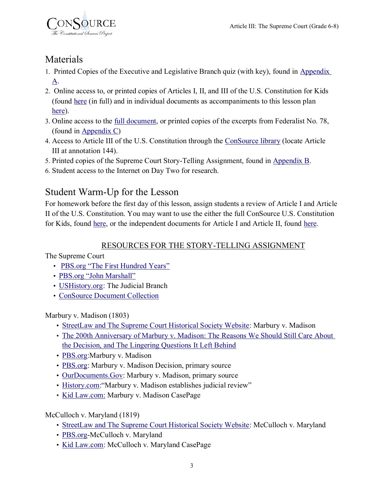

## Materials

- 1. Printed Copies of the Executive and Legislative Branch quiz (with key), found in [Appendix](#page-7-0)  [A.](#page-7-0)
- 2. Online access to, or printed copies of Articles I, II, and III of the U.S. Constitution for Kids (found [here](http://thinkfinity.org/docs/DOC-12191) (in full) and in individual documents as accompaniments to this lesson plan [here\)](http://thinkfinity.org/docs/DOC-12585).
- 3. Online access to the [full document,](http://www.consource.org/document/the-federalist-no-78-1788-6-14/) or printed copies of the excerpts from Federalist No. 78, (found in [Appendix C\)](#page-13-0)
- 4. Access to Article III of the U.S. Constitution through the [ConSource library](http://www.consource.org/document/united-states-constitution/) (locate Article III at annotation 144).
- 5. Printed copies of the Supreme Court Story-Telling Assignment, found in [Appendix B.](#page-11-0)
- 6. Student access to the Internet on Day Two for research.

# Student Warm-Up for the Lesson

For homework before the first day of this lesson, assign students a review of Article I and Article II of the U.S. Constitution. You may want to use the either the full ConSource U.S. Constitution for Kids, found [here,](http://thinkfinity.org/docs/DOC-12191) or the independent documents for Article I and Article II, found [here.](http://thinkfinity.org/docs/DOC-12585)

## RESOURCES FOR THE STORY-TELLING ASSIGNMENT

The Supreme Court

- [PBS.org "The First Hundred Years"](http://www.pbs.org/wnet/supremecourt/antebellum/history.html)
- [PBS.org "John Marshall"](http://www.pbs.org/wnet/supremecourt/antebellum/robes_marshall.html)
- [USHistory.org:](http://www.ushistory.org/gov/9.asp) The Judicial Branch
- [ConSource Document Collection](http://www.consource.org/library/?type=&topics=supreme-court-clause)

Marbury v. Madison (1803)

- [StreetLaw and The Supreme Court Historical Society Website:](http://www.streetlaw.org/en/landmark/cases/marbury_v_madison) Marbury v. Madison
- [The 200th Anniversary of Marbury v. Madison: The Reasons We Should Still Care About](http://writ.news.findlaw.com/commentary/20030224_grossman.html)  [the Decision, and The Lingering Questions It Left Behind](http://writ.news.findlaw.com/commentary/20030224_grossman.html)
- [PBS.org:](http://www.pbs.org/wnet/supremecourt/democracy/landmark_marbury.html)Marbury v. Madison
- [PBS.org:](http://www.pbs.org/wnet/supremecourt/antebellum/sources_document10.html) Marbury v. Madison Decision, primary source
- [OurDocuments.Gov:](http://www.ourdocuments.gov/doc.php?flash=true&doc=19) Marbury v. Madison, primary source
- [History.com:](http://www.history.com/this-day-in-history/marbury-v-madison-establishes-judicial-review)"Marbury v. Madison establishes judicial review"
- [Kid Law.com:](http://livepage.apple.com/) Marbury v. Madison CasePage

McCulloch v. Maryland (1819)

- [StreetLaw and The Supreme Court Historical Society Website:](http://www.streetlaw.org/en/landmark/cases/mcculloch_v_maryland) McCulloch v. Maryland
- [PBS.org-](http://www.pbs.org/wnet/supremecourt/antebellum/landmark_mcculloch.html)McCulloch v. Maryland
- [Kid Law.com:](http://kids.laws.com/mcculloch-v-maryland) McCulloch v. Maryland CasePage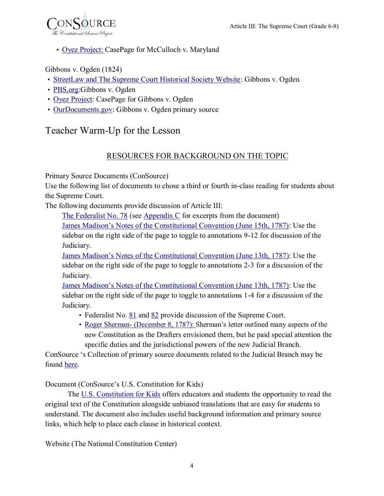

• [Oyez Project: C](http://livepage.apple.com/)asePage for McCulloch v. Maryland

Gibbons v. Ogden (1824)

- [StreetLaw and The Supreme Court Historical Society Website:](http://www.streetlaw.org/en/landmark/cases/gibbons_v_ogden) Gibbons v. Ogden
- [PBS.org:](http://www.pbs.org/wnet/supremecourt/antebellum/landmark_gibbons.html)Gibbons v. Ogden
- [Oyez Project:](http://www.oyez.org/cases/1792-1850/1824/1824_0) CasePage for Gibbons v. Ogden
- [OurDocuments.gov:](http://ourdocuments.gov/doc.php?flash=true&doc=24) Gibbons v. Ogden primary source

## Teacher Warm-Up for the Lesson

#### RESOURCES FOR BACKGROUND ON THE TOPIC

<span id="page-3-0"></span>Primary Source Documents (ConSource)

Use the following list of documents to chose a third or fourth in-class reading for students about the Supreme Court.

The following documents provide discussion of Article III:

[The Federalist No. 78](http://www.consource.org/document/the-federalist-no-78-1788-6-14/) (see [Appendix C](#page-13-0) for excerpts from the document)

[James Madison's Notes of the Constitutional Convention \(June 15th, 1787\):](http://consource.org/document/james-madisons-notes-of-the-constitutional-convention-1787-6-15/) Use the sidebar on the right side of the page to toggle to annotations 9-12 for discussion of the Judiciary.

[James Madison's Notes of the Constitutional Convention \(June 13th, 1787\):](http://consource.org/document/james-madisons-notes-of-the-constitutional-convention-1787-6-13/) Use the sidebar on the right side of the page to toggle to annotations 2-3 for a discussion of the Judiciary.

[James Madison's Notes of the Constitutional Convention \(June 13th, 1787\):](http://consource.org/document/james-madisons-notes-of-the-constitutional-convention-1787-6-5/) Use the sidebar on the right side of the page to toggle to annotations 1-4 for a discussion of the Judiciary.

- Federalist No. [81](http://www.consource.org/document/the-federalist-no-81-1788-6-25/) and [82](http://www.consource.org/document/the-federalist-no-82-1788-7-2/) provide discussion of the Supreme Court.
- Roger Sherman- [\(December 8, 1787\): S](http://www.consource.org/document/roger-sherman-to-___-1787-12-8/)herman's letter outlined many aspects of the new Constitution as the Drafters envisioned them, but he paid special attention the specific duties and the jurisdictional powers of the new Judicial Branch.

ConSource 's Collection of primary source documents related to the Judicial Branch may be found [here.](http://www.consource.org/index/article-ii-the-judicial-branch/)

Document (ConSource's U.S. Constitution for Kids)

The [U.S. Constitution for Kids](http://thinkfinity.org/docs/DOC-12191) offers educators and students the opportunity to read the original text of the Constitution alongside unbiased translations that are easy for students to understand. The document also includes useful background information and primary source links, which help to place each clause in historical context.

Website (The National Constitution Center)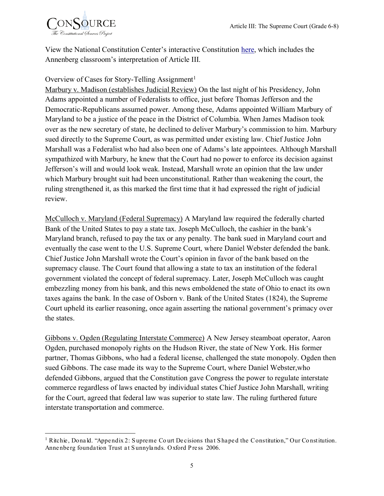

View the National Constitution Center's interactive Constitution [here,](http://constitutioncenter.org/constitution/the-articles/article-iii-the-judicial-branch) which includes the Annenberg classroom's interpretation of Article III.

#### Overview of Cases for Story-Telling Assignment<sup>1</sup>

Marbury v. Madison (establishes Judicial Review) On the last night of his Presidency, John Adams appointed a number of Federalists to office, just before Thomas Jefferson and the Democratic-Republicans assumed power. Among these, Adams appointed William Marbury of Maryland to be a justice of the peace in the District of Columbia. When James Madison took over as the new secretary of state, he declined to deliver Marbury's commission to him. Marbury sued directly to the Supreme Court, as was permitted under existing law. Chief Justice John Marshall was a Federalist who had also been one of Adams's late appointees. Although Marshall sympathized with Marbury, he knew that the Court had no power to enforce its decision against Jefferson's will and would look weak. Instead, Marshall wrote an opinion that the law under which Marbury brought suit had been unconstitutional. Rather than weakening the court, the ruling strengthened it, as this marked the first time that it had expressed the right of judicial review.

McCulloch v. Maryland (Federal Supremacy) A Maryland law required the federally charted Bank of the United States to pay a state tax. Joseph McCulloch, the cashier in the bank's Maryland branch, refused to pay the tax or any penalty. The bank sued in Maryland court and eventually the case went to the U.S. Supreme Court, where Daniel Webster defended the bank. Chief Justice John Marshall wrote the Court's opinion in favor of the bank based on the supremacy clause. The Court found that allowing a state to tax an institution of the federal government violated the concept of federal supremacy. Later, Joseph McCulloch was caught embezzling money from his bank, and this news emboldened the state of Ohio to enact its own taxes agains the bank. In the case of Osborn v. Bank of the United States (1824), the Supreme Court upheld its earlier reasoning, once again asserting the national government's primacy over the states.

Gibbons v. Ogden (Regulating Interstate Commerce) A New Jersey steamboat operator, Aaron Ogden, purchased monopoly rights on the Hudson River, the state of New York. His former partner, Thomas Gibbons, who had a federal license, challenged the state monopoly. Ogden then sued Gibbons. The case made its way to the Supreme Court, where Daniel Webster,who defended Gibbons, argued that the Constitution gave Congress the power to regulate interstate commerce regardless of laws enacted by individual states Chief Justice John Marshall, writing for the Court, agreed that federal law was superior to state law. The ruling furthered future interstate transportation and commerce.

 $\overline{a}$ <sup>1</sup> Ritchie, Donald. "Appendix 2: Supreme Court Decisions that Shaped the Constitution," Our Constitution. Anne nberg foundation Trust at Sunnylands. Oxford Press 2006.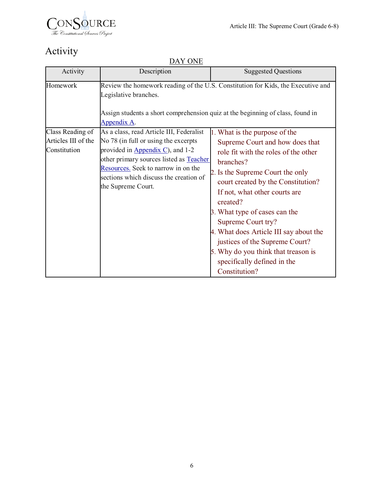

# Activity

DAY ONE

| Activity                            | Description                                                                                                                                                                                                                                                            | <b>Suggested Questions</b>                                                                                                                                                                                                                                                                                                                                                                                                            |
|-------------------------------------|------------------------------------------------------------------------------------------------------------------------------------------------------------------------------------------------------------------------------------------------------------------------|---------------------------------------------------------------------------------------------------------------------------------------------------------------------------------------------------------------------------------------------------------------------------------------------------------------------------------------------------------------------------------------------------------------------------------------|
| Homework<br>Class Reading of        | Review the homework reading of the U.S. Constitution for Kids, the Executive and<br>Assign students a short comprehension quiz at the beginning of class, found in<br>1. What is the purpose of the                                                                    |                                                                                                                                                                                                                                                                                                                                                                                                                                       |
| Articles III of the<br>Constitution | As a class, read Article III, Federalist<br>No 78 (in full or using the excerpts<br>provided in Appendix C), and 1-2<br>other primary sources listed as Teacher<br>Resources. Seek to narrow in on the<br>sections which discuss the creation of<br>the Supreme Court. | Supreme Court and how does that<br>role fit with the roles of the other<br>branches?<br>2. Is the Supreme Court the only<br>court created by the Constitution?<br>If not, what other courts are<br>created?<br>3. What type of cases can the<br>Supreme Court try?<br>4. What does Article III say about the<br>justices of the Supreme Court?<br>5. Why do you think that treason is<br>specifically defined in the<br>Constitution? |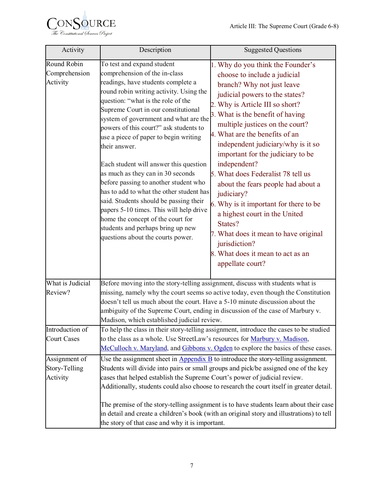

| Activity                                   | Description                                                                                                                                                                                                                                                                                                                                                                                                                                                                                                                                                                                                                                                                                                                                    | <b>Suggested Questions</b>                                                                                                                                                                                                                                                                                                                                                                                                                                                                                                                                                                                                                                                  |  |  |  |
|--------------------------------------------|------------------------------------------------------------------------------------------------------------------------------------------------------------------------------------------------------------------------------------------------------------------------------------------------------------------------------------------------------------------------------------------------------------------------------------------------------------------------------------------------------------------------------------------------------------------------------------------------------------------------------------------------------------------------------------------------------------------------------------------------|-----------------------------------------------------------------------------------------------------------------------------------------------------------------------------------------------------------------------------------------------------------------------------------------------------------------------------------------------------------------------------------------------------------------------------------------------------------------------------------------------------------------------------------------------------------------------------------------------------------------------------------------------------------------------------|--|--|--|
| Round Robin<br>Comprehension<br>Activity   | To test and expand student<br>comprehension of the in-class<br>readings, have students complete a<br>round robin writing activity. Using the<br>question: "what is the role of the<br>Supreme Court in our constitutional<br>system of government and what are the<br>powers of this court?" ask students to<br>use a piece of paper to begin writing<br>their answer.<br>Each student will answer this question<br>as much as they can in 30 seconds<br>before passing to another student who<br>has to add to what the other student has<br>said. Students should be passing their<br>papers 5-10 times. This will help drive<br>home the concept of the court for<br>students and perhaps bring up new<br>questions about the courts power. | 1. Why do you think the Founder's<br>choose to include a judicial<br>branch? Why not just leave<br>judicial powers to the states?<br>2. Why is Article III so short?<br>3. What is the benefit of having<br>multiple justices on the court?<br>4. What are the benefits of an<br>independent judiciary/why is it so<br>important for the judiciary to be<br>independent?<br>5. What does Federalist 78 tell us<br>about the fears people had about a<br>judiciary?<br>6. Why is it important for there to be<br>a highest court in the United<br>States?<br>7. What does it mean to have original<br>jurisdiction?<br>8. What does it mean to act as an<br>appellate court? |  |  |  |
| What is Judicial<br>Review?                | Madison, which established judicial review.                                                                                                                                                                                                                                                                                                                                                                                                                                                                                                                                                                                                                                                                                                    | Before moving into the story-telling assignment, discuss with students what is<br>missing, namely why the court seems so active today, even though the Constitution<br>doesn't tell us much about the court. Have a 5-10 minute discussion about the<br>ambiguity of the Supreme Court, ending in discussion of the case of Marbury v.                                                                                                                                                                                                                                                                                                                                      |  |  |  |
| Introduction of<br><b>Court Cases</b>      | To help the class in their story-telling assignment, introduce the cases to be studied<br>to the class as a whole. Use StreetLaw's resources for Marbury v. Madison,<br>McCulloch v. Maryland, and Gibbons v. Ogden to explore the basics of these cases.                                                                                                                                                                                                                                                                                                                                                                                                                                                                                      |                                                                                                                                                                                                                                                                                                                                                                                                                                                                                                                                                                                                                                                                             |  |  |  |
| Assignment of<br>Story-Telling<br>Activity | Use the assignment sheet in $\Delta$ ppendix $\overline{B}$ to introduce the story-telling assignment.<br>Students will divide into pairs or small groups and pick/be assigned one of the key<br>cases that helped establish the Supreme Court's power of judicial review.<br>Additionally, students could also choose to research the court itself in greater detail.<br>The premise of the story-telling assignment is to have students learn about their case<br>in detail and create a children's book (with an original story and illustrations) to tell<br>the story of that case and why it is important.                                                                                                                               |                                                                                                                                                                                                                                                                                                                                                                                                                                                                                                                                                                                                                                                                             |  |  |  |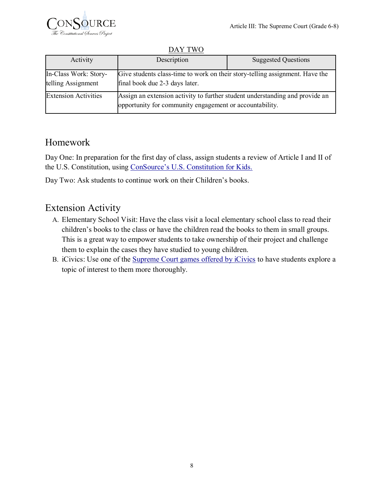

DAY TWO

| Activity                                                                                                                                                      | Description                                                                                                                             | <b>Suggested Questions</b> |  |
|---------------------------------------------------------------------------------------------------------------------------------------------------------------|-----------------------------------------------------------------------------------------------------------------------------------------|----------------------------|--|
| Give students class-time to work on their story-telling assignment. Have the<br>In-Class Work: Story-<br>telling Assignment<br>final book due 2-3 days later. |                                                                                                                                         |                            |  |
| <b>Extension Activities</b>                                                                                                                                   | Assign an extension activity to further student understanding and provide an<br>opportunity for community engagement or accountability. |                            |  |

## Homework

Day One: In preparation for the first day of class, assign students a review of Article I and II of the U.S. Constitution, using [ConSource's U.S. Constitution for Kids.](http://thinkfinity.org/docs/DOC-12191)

Day Two: Ask students to continue work on their Children's books.

## Extension Activity

- A. Elementary School Visit: Have the class visit a local elementary school class to read their children's books to the class or have the children read the books to them in small groups. This is a great way to empower students to take ownership of their project and challenge them to explain the cases they have studied to young children.
- <span id="page-7-0"></span>B. iCivics: Use one of the [Supreme Court games offered by iCivics](http://livepage.apple.com/) to have students explore a topic of interest to them more thoroughly.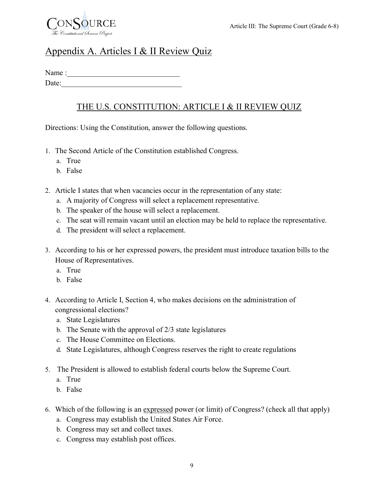

## Appendix A. Articles I & II Review Quiz

Name : Date:

## THE U.S. CONSTITUTION: ARTICLE I & II REVIEW QUIZ

Directions: Using the Constitution, answer the following questions.

- 1. The Second Article of the Constitution established Congress.
	- a. True
	- b. False
- 2. Article I states that when vacancies occur in the representation of any state:
	- a. A majority of Congress will select a replacement representative.
	- b. The speaker of the house will select a replacement.
	- c. The seat will remain vacant until an election may be held to replace the representative.
	- d. The president will select a replacement.
- 3. According to his or her expressed powers, the president must introduce taxation bills to the House of Representatives.
	- a. True
	- b. False
- 4. According to Article I, Section 4, who makes decisions on the administration of congressional elections?
	- a. State Legislatures
	- b. The Senate with the approval of 2/3 state legislatures
	- c. The House Committee on Elections.
	- d. State Legislatures, although Congress reserves the right to create regulations
- 5. The President is allowed to establish federal courts below the Supreme Court.
	- a. True
	- b. False
- 6. Which of the following is an expressed power (or limit) of Congress? (check all that apply)
	- a. Congress may establish the United States Air Force.
	- b. Congress may set and collect taxes.
	- c. Congress may establish post offices.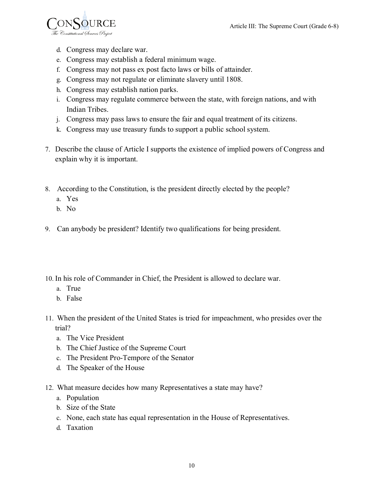

- d. Congress may declare war.
- e. Congress may establish a federal minimum wage.
- f. Congress may not pass ex post facto laws or bills of attainder.
- g. Congress may not regulate or eliminate slavery until 1808.
- h. Congress may establish nation parks.
- i. Congress may regulate commerce between the state, with foreign nations, and with Indian Tribes.
- j. Congress may pass laws to ensure the fair and equal treatment of its citizens.
- k. Congress may use treasury funds to support a public school system.
- 7. Describe the clause of Article I supports the existence of implied powers of Congress and explain why it is important.
- 8. According to the Constitution, is the president directly elected by the people?
	- a. Yes
	- b. No
- 9. Can anybody be president? Identify two qualifications for being president.
- 10. In his role of Commander in Chief, the President is allowed to declare war.
	- a. True
	- b. False
- 11. When the president of the United States is tried for impeachment, who presides over the trial?
	- a. The Vice President
	- b. The Chief Justice of the Supreme Court
	- c. The President Pro-Tempore of the Senator
	- d. The Speaker of the House
- 12. What measure decides how many Representatives a state may have?
	- a. Population
	- b. Size of the State
	- c. None, each state has equal representation in the House of Representatives.
	- d. Taxation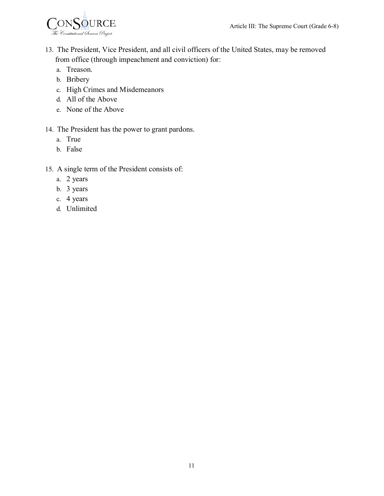

- 13. The President, Vice President, and all civil officers of the United States, may be removed from office (through impeachment and conviction) for:
	- a. Treason.
	- b. Bribery
	- c. High Crimes and Misdemeanors
	- d. All of the Above
	- e. None of the Above

#### 14. The President has the power to grant pardons.

- a. True
- b. False
- 15. A single term of the President consists of:
	- a. 2 years
	- b. 3 years
	- c. 4 years
	- d. Unlimited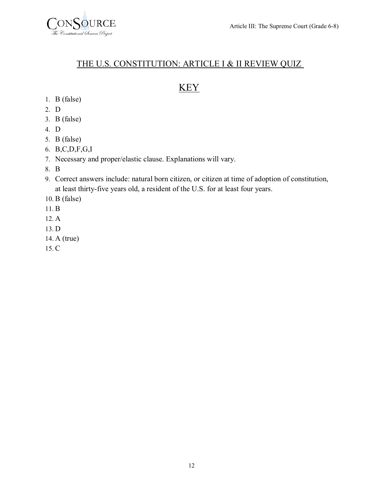

#### THE U.S. CONSTITUTION: ARTICLE I & II REVIEW QUIZ

## KEY

- 1. B (false)
- 2. D
- 3. B (false)
- 4. D
- 5. B (false)
- 6. B,C,D,F,G,I
- 7. Necessary and proper/elastic clause. Explanations will vary.
- 8. B
- 9. Correct answers include: natural born citizen, or citizen at time of adoption of constitution, at least thirty-five years old, a resident of the U.S. for at least four years.
- 10. B (false)
- 11. B
- 12. A
- 13. D
- 14. A (true)
- <span id="page-11-0"></span>15. C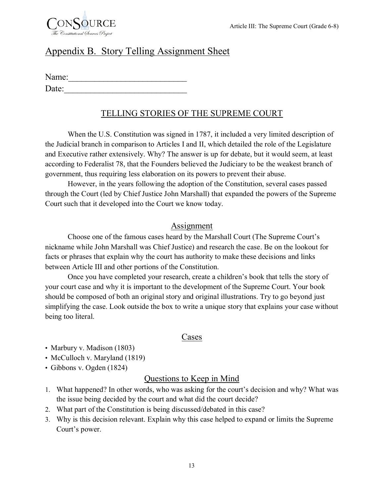

## Appendix B. Story Telling Assignment Sheet

| Name: |  |  |  |
|-------|--|--|--|
| Date: |  |  |  |

## TELLING STORIES OF THE SUPREME COURT

When the U.S. Constitution was signed in 1787, it included a very limited description of the Judicial branch in comparison to Articles I and II, which detailed the role of the Legislature and Executive rather extensively. Why? The answer is up for debate, but it would seem, at least according to Federalist 78, that the Founders believed the Judiciary to be the weakest branch of government, thus requiring less elaboration on its powers to prevent their abuse.

However, in the years following the adoption of the Constitution, several cases passed through the Court (led by Chief Justice John Marshall) that expanded the powers of the Supreme Court such that it developed into the Court we know today.

#### Assignment

Choose one of the famous cases heard by the Marshall Court (The Supreme Court's nickname while John Marshall was Chief Justice) and research the case. Be on the lookout for facts or phrases that explain why the court has authority to make these decisions and links between Article III and other portions of the Constitution.

Once you have completed your research, create a children's book that tells the story of your court case and why it is important to the development of the Supreme Court. Your book should be composed of both an original story and original illustrations. Try to go beyond just simplifying the case. Look outside the box to write a unique story that explains your case without being too literal.

#### Cases

- Marbury v. Madison (1803)
- McCulloch v. Maryland (1819)
- Gibbons v. Ogden (1824)

#### Questions to Keep in Mind

- 1. What happened? In other words, who was asking for the court's decision and why? What was the issue being decided by the court and what did the court decide?
- 2. What part of the Constitution is being discussed/debated in this case?
- 3. Why is this decision relevant. Explain why this case helped to expand or limits the Supreme Court's power.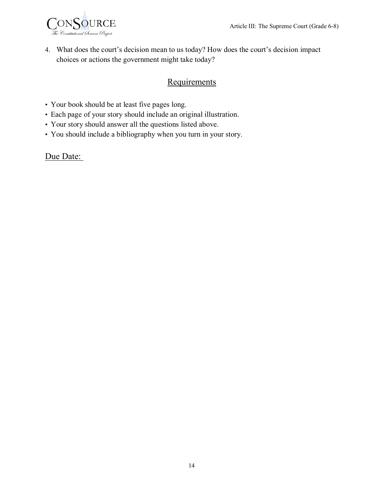

4. What does the court's decision mean to us today? How does the court's decision impact choices or actions the government might take today?

#### **Requirements**

- Your book should be at least five pages long.
- Each page of your story should include an original illustration.
- Your story should answer all the questions listed above.
- You should include a bibliography when you turn in your story.

#### <span id="page-13-0"></span>Due Date: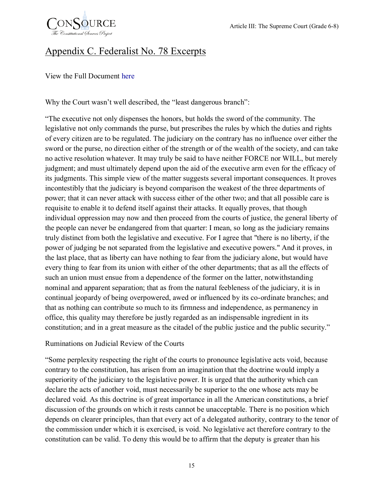

# Appendix C. Federalist No. 78 Excerpts

View the Full Document [here](http://www.consource.org/document/the-federalist-no-78-1788-6-14/)

Why the Court wasn't well described, the "least dangerous branch":

"The executive not only dispenses the honors, but holds the sword of the community. The legislative not only commands the purse, but prescribes the rules by which the duties and rights of every citizen are to be regulated. The judiciary on the contrary has no influence over either the sword or the purse, no direction either of the strength or of the wealth of the society, and can take no active resolution whatever. It may truly be said to have neither FORCE nor WILL, but merely judgment; and must ultimately depend upon the aid of the executive arm even for the efficacy of its judgments. This simple view of the matter suggests several important consequences. It proves incontestibly that the judiciary is beyond comparison the weakest of the three departments of power; that it can never attack with success either of the other two; and that all possible care is requisite to enable it to defend itself against their attacks. It equally proves, that though individual oppression may now and then proceed from the courts of justice, the general liberty of the people can never be endangered from that quarter: I mean, so long as the judiciary remains truly distinct from both the legislative and executive. For I agree that "there is no liberty, if the power of judging be not separated from the legislative and executive powers." And it proves, in the last place, that as liberty can have nothing to fear from the judiciary alone, but would have every thing to fear from its union with either of the other departments; that as all the effects of such an union must ensue from a dependence of the former on the latter, notwithstanding nominal and apparent separation; that as from the natural feebleness of the judiciary, it is in continual jeopardy of being overpowered, awed or influenced by its co-ordinate branches; and that as nothing can contribute so much to its firmness and independence, as permanency in office, this quality may therefore be justly regarded as an indispensable ingredient in its constitution; and in a great measure as the citadel of the public justice and the public security."

#### Ruminations on Judicial Review of the Courts

"Some perplexity respecting the right of the courts to pronounce legislative acts void, because contrary to the constitution, has arisen from an imagination that the doctrine would imply a superiority of the judiciary to the legislative power. It is urged that the authority which can declare the acts of another void, must necessarily be superior to the one whose acts may be declared void. As this doctrine is of great importance in all the American constitutions, a brief discussion of the grounds on which it rests cannot be unacceptable. There is no position which depends on clearer principles, than that every act of a delegated authority, contrary to the tenor of the commission under which it is exercised, is void. No legislative act therefore contrary to the constitution can be valid. To deny this would be to affirm that the deputy is greater than his